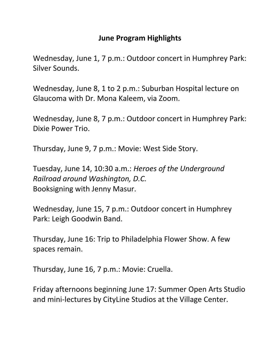## **June Program Highlights**

Wednesday, June 1, 7 p.m.: Outdoor concert in Humphrey Park: Silver Sounds.

Wednesday, June 8, 1 to 2 p.m.: Suburban Hospital lecture on Glaucoma with Dr. Mona Kaleem, via Zoom.

Wednesday, June 8, 7 p.m.: Outdoor concert in Humphrey Park: Dixie Power Trio.

Thursday, June 9, 7 p.m.: Movie: West Side Story.

Tuesday, June 14, 10:30 a.m.: *Heroes of the Underground Railroad around Washington, D.C.* Booksigning with Jenny Masur.

Wednesday, June 15, 7 p.m.: Outdoor concert in Humphrey Park: Leigh Goodwin Band.

Thursday, June 16: Trip to Philadelphia Flower Show. A few spaces remain.

Thursday, June 16, 7 p.m.: Movie: Cruella.

Friday afternoons beginning June 17: Summer Open Arts Studio and mini-lectures by CityLine Studios at the Village Center.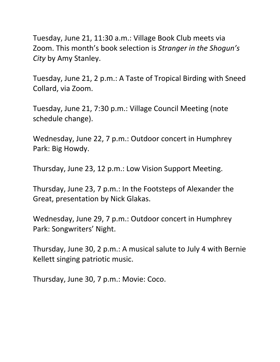Tuesday, June 21, 11:30 a.m.: Village Book Club meets via Zoom. This month's book selection is *Stranger in the Shogun's City* by Amy Stanley.

Tuesday, June 21, 2 p.m.: A Taste of Tropical Birding with Sneed Collard, via Zoom.

Tuesday, June 21, 7:30 p.m.: Village Council Meeting (note schedule change).

Wednesday, June 22, 7 p.m.: Outdoor concert in Humphrey Park: Big Howdy.

Thursday, June 23, 12 p.m.: Low Vision Support Meeting.

Thursday, June 23, 7 p.m.: In the Footsteps of Alexander the Great, presentation by Nick Glakas.

Wednesday, June 29, 7 p.m.: Outdoor concert in Humphrey Park: Songwriters' Night.

Thursday, June 30, 2 p.m.: A musical salute to July 4 with Bernie Kellett singing patriotic music.

Thursday, June 30, 7 p.m.: Movie: Coco.